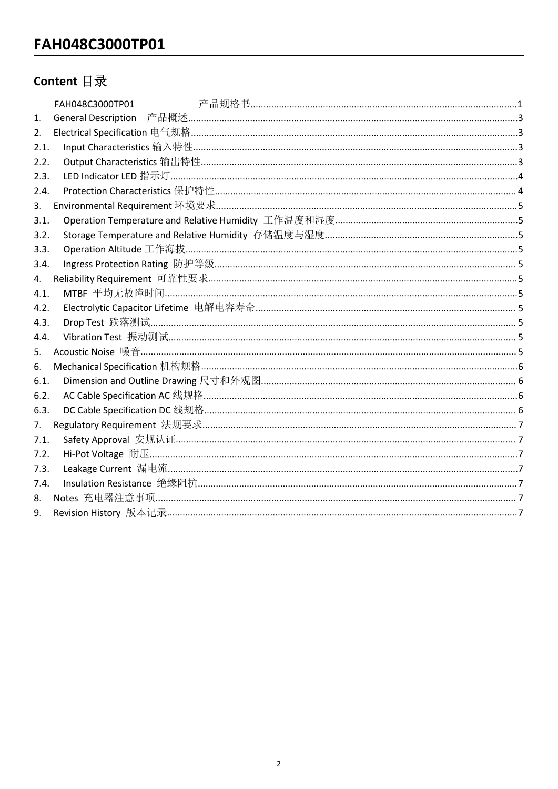## Content 目录

| 1.   |  |
|------|--|
| 2.   |  |
| 2.1. |  |
| 2.2. |  |
| 2.3. |  |
| 2.4. |  |
| 3.   |  |
| 3.1. |  |
| 3.2. |  |
| 3.3. |  |
| 3.4. |  |
| 4.   |  |
| 4.1. |  |
| 4.2. |  |
| 4.3. |  |
| 4.4. |  |
| 5.   |  |
| 6.   |  |
| 6.1. |  |
| 6.2. |  |
| 6.3. |  |
| 7.   |  |
| 7.1. |  |
| 7.2. |  |
| 7.3. |  |
| 7.4. |  |
| 8.   |  |
| 9.   |  |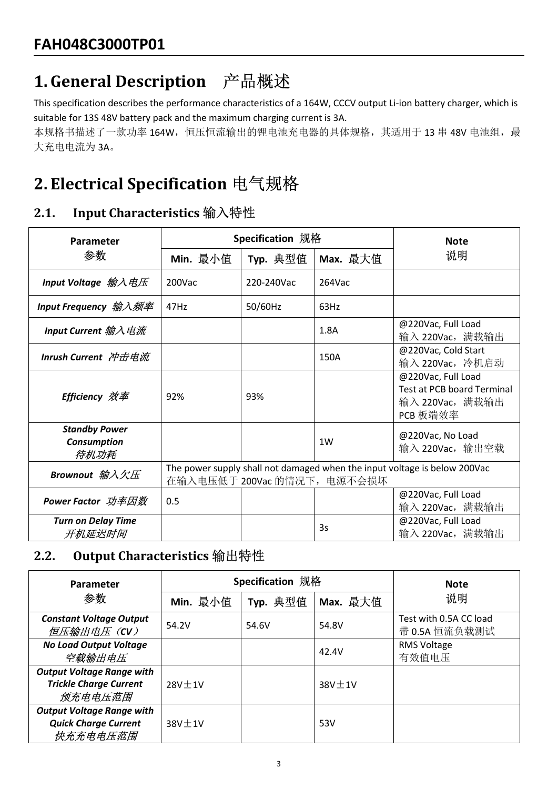FAH048C3000TP01<br>1. General Description 产品概述<br>This specification describes the performance characteristics of a 164W, CCCV output Li-ion ba<br>suitable for 13S 48V battery pack and the maximum charging current is 3A.<br>本规格书描述了一 This specification describes the performance characteristics of a 164W, CCCV output Li-ion battery charger, which is FAH048C3000TP01<br>1. General Description 产品概述<br>This specification describes the performance characteristics of a 164W, CCCV output Li-ion battery charger, which is<br>suitable for 13S 48V battery pack and the maximum charging FAH048C3000TP01<br>
1. General Description 产品概述<br>
This specification describes the performance characteristics of a 164W, CCCV output Li-ion batter<br>
suitable for 135 48V battery pack and the maximum charging current is 3A.<br>

| <b>FAH048C3000TP01</b>                                                                                                                                                                                                                                                        |                  |                  |              |                                                                                 |
|-------------------------------------------------------------------------------------------------------------------------------------------------------------------------------------------------------------------------------------------------------------------------------|------------------|------------------|--------------|---------------------------------------------------------------------------------|
| 1. General Description 产品概述                                                                                                                                                                                                                                                   |                  |                  |              |                                                                                 |
| This specification describes the performance characteristics of a 164W, CCCV output Li-ion battery charger, which is<br>suitable for 13S 48V battery pack and the maximum charging current is 3A.<br>本规格书描述了一款功率 164W, 恒压恒流输出的锂电池充电器的具体规格, 其适用于 13 串 48V 电池组, 最<br>大充电电流为 3A。 |                  |                  |              |                                                                                 |
| 2. Electrical Specification 电气规格                                                                                                                                                                                                                                              |                  |                  |              |                                                                                 |
| Input Characteristics 输入特性<br>2.1.                                                                                                                                                                                                                                            |                  |                  |              |                                                                                 |
| Parameter                                                                                                                                                                                                                                                                     | Specification 规格 |                  |              | <b>Note</b>                                                                     |
| 参数                                                                                                                                                                                                                                                                            | Min. 最小值         | Typ. 典型值         | Max. 最大值     | 说明                                                                              |
| Input Voltage 输入电压                                                                                                                                                                                                                                                            | 200Vac           | 220-240Vac       | 264Vac       |                                                                                 |
| Input Frequency <i>输入频率</i>                                                                                                                                                                                                                                                   | 47Hz             | 50/60Hz          | 63Hz         |                                                                                 |
| Input Current 输入电流                                                                                                                                                                                                                                                            |                  |                  | 1.8A         | @220Vac, Full Load<br>输入 220Vac, 满载输出                                           |
| <b>Inrush Current 冲击电流</b>                                                                                                                                                                                                                                                    |                  |                  | 150A         | @220Vac, Cold Start<br>输入 220Vac, 冷机启动                                          |
| <b>Efficiency 效率</b>                                                                                                                                                                                                                                                          | 92%              | 93%              |              | @220Vac, Full Load<br>Test at PCB board Terminal<br>输入 220Vac, 满载输出<br>PCB 板端效率 |
| <b>Standby Power</b><br><b>Consumption</b><br>待机功耗                                                                                                                                                                                                                            |                  |                  | 1W           | @220Vac, No Load<br>输入 220Vac, 输出空载                                             |
| The power supply shall not damaged when the input voltage is below 200Vac<br>Brownout 输入欠压<br>在输入电压低于 200Vac 的情况下, 电源不会损坏                                                                                                                                                     |                  |                  |              |                                                                                 |
| <b>Power Factor</b> 功率因数                                                                                                                                                                                                                                                      | 0.5              |                  |              | @220Vac, Full Load<br>输入 220Vac, 满载输出                                           |
| <b>Turn on Delay Time</b><br>开机延迟时间                                                                                                                                                                                                                                           |                  |                  | 3s           | @220Vac, Full Load<br>输入 220Vac, 满载输出                                           |
| Output Characteristics 输出特性<br>2.2.                                                                                                                                                                                                                                           |                  |                  |              |                                                                                 |
| Parameter                                                                                                                                                                                                                                                                     |                  | Specification 规格 | <b>Note</b>  |                                                                                 |
| 参数                                                                                                                                                                                                                                                                            | Min. 最小值         | Typ. 典型值         | Max. 最大值     | 说明                                                                              |
| <b>Constant Voltage Output</b><br>恒压输出电压 (CV)                                                                                                                                                                                                                                 | 54.2V            | 54.6V            | 54.8V        | Test with 0.5A CC load<br>带 0.5A 恒流负载测试                                         |
| <b>No Load Output Voltage</b><br>空载输出电压                                                                                                                                                                                                                                       |                  |                  | 42.4V        | RMS Voltage<br>有效值电压                                                            |
| <b>Output Voltage Range with</b><br><b>Trickle Charge Current</b><br>药大市市厅世里                                                                                                                                                                                                  | $28V \pm 1V$     |                  | $38V \pm 1V$ |                                                                                 |

|                                                                              |                                                                                                          |                  |              | PCB 板端效率                                |  |  |  |
|------------------------------------------------------------------------------|----------------------------------------------------------------------------------------------------------|------------------|--------------|-----------------------------------------|--|--|--|
| <b>Standby Power</b><br>Consumption<br>待机功耗                                  |                                                                                                          |                  | 1W           | @220Vac, No Load<br>输入 220Vac, 输出空载     |  |  |  |
| Brownout 输入欠压                                                                | The power supply shall not damaged when the input voltage is below 200Vac<br>在输入电压低于 200Vac 的情况下, 电源不会损坏 |                  |              |                                         |  |  |  |
| <b>Power Factor</b> 功率因数                                                     | 0.5                                                                                                      |                  |              | @220Vac, Full Load<br>输入 220Vac, 满载输出   |  |  |  |
| <b>Turn on Delay Time</b><br>开机延迟时间                                          |                                                                                                          |                  | 3s           | @220Vac, Full Load<br>输入 220Vac, 满载输出   |  |  |  |
| Output Characteristics 输出特性<br>2.2.                                          |                                                                                                          |                  |              |                                         |  |  |  |
| Parameter                                                                    |                                                                                                          | Specification 规格 | <b>Note</b>  |                                         |  |  |  |
| 参数                                                                           | Min. 最小值                                                                                                 | Typ. 典型值         | Max. 最大值     | 说明                                      |  |  |  |
| <b>Constant Voltage Output</b><br>恒压输出电压 (CV)                                | 54.2V                                                                                                    | 54.6V            | 54.8V        | Test with 0.5A CC load<br>带 0.5A 恒流负载测试 |  |  |  |
| <b>No Load Output Voltage</b><br>空载输出电压                                      |                                                                                                          |                  | 42.4V        | RMS Voltage<br>有效值电压                    |  |  |  |
| <b>Output Voltage Range with</b><br><b>Trickle Charge Current</b><br>预充电电压范围 | $28V \pm 1V$                                                                                             |                  | $38V \pm 1V$ |                                         |  |  |  |
| <b>Output Voltage Range with</b>                                             |                                                                                                          |                  | 53V          |                                         |  |  |  |
| <b>Quick Charge Current</b><br>快充充电电压范围                                      | $38V \pm 1V$                                                                                             |                  |              |                                         |  |  |  |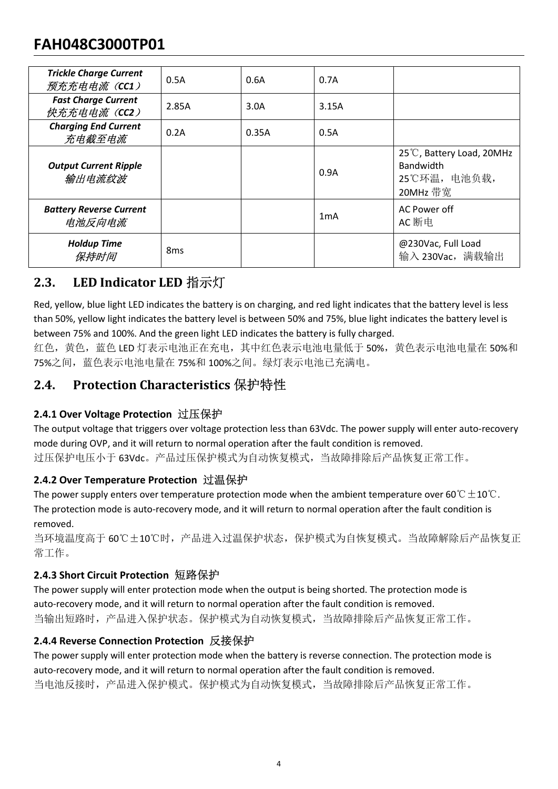# FAH048C3000TP01

| <b>FAH048C3000TP01</b>                                                                                                                                                                 |                 |       |                  |                                                                                                                                                                                                                                                                                                                |
|----------------------------------------------------------------------------------------------------------------------------------------------------------------------------------------|-----------------|-------|------------------|----------------------------------------------------------------------------------------------------------------------------------------------------------------------------------------------------------------------------------------------------------------------------------------------------------------|
| <b>Trickle Charge Current</b><br>预充充电电流(CC1)                                                                                                                                           | 0.5A            | 0.6A  | 0.7A             |                                                                                                                                                                                                                                                                                                                |
| <b>Fast Charge Current</b><br>快充充电电流 (CC2)                                                                                                                                             | 2.85A           | 3.0A  | 3.15A            |                                                                                                                                                                                                                                                                                                                |
| <b>Charging End Current</b><br>充电截至电流                                                                                                                                                  | 0.2A            | 0.35A | 0.5A             |                                                                                                                                                                                                                                                                                                                |
| <b>Output Current Ripple</b><br>输出电流纹波                                                                                                                                                 |                 |       | 0.9A             | 25°C, Battery Load, 20MHz<br>Bandwidth<br>25℃环温, 电池负载,<br>20MHz 带宽                                                                                                                                                                                                                                             |
| <b>Battery Reverse Current</b><br>电池反向电流                                                                                                                                               |                 |       | 1 <sub>m</sub> A | AC Power off<br>AC 断电                                                                                                                                                                                                                                                                                          |
| <b>Holdup Time</b><br>保持时间                                                                                                                                                             | 8 <sub>ms</sub> |       |                  | @230Vac, Full Load<br>输入 230Vac, 满载输出                                                                                                                                                                                                                                                                          |
| LED Indicator LED 指示灯<br>2.3.                                                                                                                                                          |                 |       |                  |                                                                                                                                                                                                                                                                                                                |
| between 75% and 100%. And the green light LED indicates the battery is fully charged.<br>75%之间, 蓝色表示电池电量在 75%和 100%之间。绿灯表示电池已充满电。                                                      |                 |       |                  | Red, yellow, blue light LED indicates the battery is on charging, and red light indicates that the battery level is less<br>than 50%, yellow light indicates the battery level is between 50% and 75%, blue light indicates the battery level is<br>红色, 黄色, 蓝色 LED 灯表示电池正在充电, 其中红色表示电池电量低于 50%, 黄色表示电池电量在 50%和 |
| Protection Characteristics 保护特性<br>2.4.                                                                                                                                                |                 |       |                  |                                                                                                                                                                                                                                                                                                                |
| 2.4.1 Over Voltage Protection 过压保护<br>mode during OVP, and it will return to normal operation after the fault condition is removed.<br>过压保护电压小于 63Vdc。产品过压保护模式为自动恢复模式, 当故障排除后产品恢复正常工作。 |                 |       |                  | The output voltage that triggers over voltage protection less than 63Vdc. The power supply will enter auto-recovery                                                                                                                                                                                            |
| 2.4.2 Over Temperature Protection 过温保护                                                                                                                                                 |                 |       |                  | The power supply enters over temperature protection mode when the ambient temperature over 60 $\degree$ C $\pm$ 10 $\degree$ C.<br>The protection mode is auto-recovery mode, and it will return to normal operation after the fault condition is                                                              |

**From Finally and The Matter State of the Matter of the protection is and the protection of the protection of the protection of the protection of the protection of the protection of the protection of the protection of th The power supply enternal condition in the ambient over temperature protection model in the ambient temperature protection model in the ambient temperature protection model when the ambient temperature protection model** 

removed. 75%之间,蓝色表示电池电量在 75%和 100%之间。绿灯表示电池已充满电。<br>**2.4. Protection Characteristics 保护特性**<br>2.4. Over Voltage Protection 过压保护<br>The output voltage Protection 过压保护<br>mode during OVP, and it will return to normal operation after the fault 2.4. Protection Characteristics 保护特性<br>The output voltage Protection 过压保护<br>The output voltage that triggers over voltage protection less than 63Vdc. The power supply will enter auto-recovery<br>mode during OVP, and it will ret

当环境温度高于 60℃±10℃时,产品进入过温保护状态,保护模式为自恢复模式。当故障解除后产品恢复正 常工作。

红色,黄色,蓝色 LED 灯表示电池正在充电,其中红色表示电池电量低于 50%,黄色表<br>75%之间,蓝色表示电池电量在 75%和 100%之间。绿灯表示电池已充满电。<br>**2.4.1 Over Voltage Protection 立压保护**<br>**2.4.1 Over Voltage Protection 过压保护**<br>**2.4.1 Over Voltage Protection 过压保护**<br>**2.4.1 Over Voltage Protec** 当输出短路时,产品进入保护状态。保护模式为自动恢复模式,当故障排除后产品恢复正常工作。 **2.4.1 Over Voltage Protection 过压保护**<br>The output voltage that triggers over voltage protection less than 63Vdc. The power supply will enter a<br>mode during OVP, and it will return to normal operation after the fault conditio

The output voltage that triggers over voltage protection less than 63Vdc. The power supply will enter auto-recovery<br>mode during OVP, and it will return to normal operation alter the fault condition is removed.<br>
The power mode during OVP, and it will return to normal operation after the fault condition is removed.<br>过压保护电压小于 63Vdc. 产品过压保护模式为自动恢复模式,当故障排除后产品恢复正常工作。<br>**TAL OVer Temperature Protection in 过温保护**<br>The power supply enters over temperat 当电池反接时,产品进入保护模式。保护模式为自动恢复模式,当故障排除后产品恢复正常工作。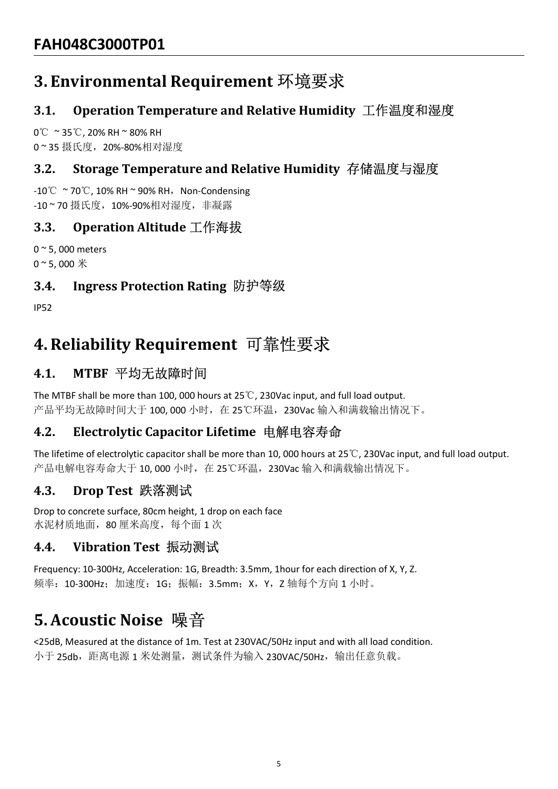# FAH048C3000TP01<br>3. Environmental Requirement 环境要求<br>3.1. Operation Temperature and Relative Humidity<br>0℃~35℃, 20%-RH~80% RH<br>0~35 摄氏度,20%-80%相对湿度<br>3.2. Storage Temperature and Relative Humidity 有<br>-10℃~70℃, 10% RH~90% RH,Non-C FAH048C3000TP01<br>3. Environmental Requirement 环境要求<br>3.1. Operation Temperature and Relative Humidity<br>0℃ ~ 35℃, 20% RH ~ 80% RH<br>0~ 35 摄氏度, 20%-80%相对湿度<br>3.2. Storage Temperature and Relative Humidity 存4<br>-10℃ ~ 70℃, 10% RH ~ 9 FAH048C3000TP01<br>3. Environmental Requirement 环境要求<br>3.1. Operation Temperature and Relative Humidity 工作<br>0℃ ~35℃, 20% RH ~ 80% RH<br>0~35 摄氏度,20%-80%相对湿度<br>3.2. Storage Temperature and Relative Humidity 存储温<br>-10℃ ~70℃, 10% RH ~ 9 FAH048C3000TP01<br>3. Environmental Requirement 环境要求<br>3.1. Operation Temperature and Relative Humidity<br>0℃~35℃, 20% RH~80% RH<br>0~35 摄氏度,20%-80%相对湿度<br>3.2. Storage Temperature and Relative Humidity 存作<br>-10℃~70℃, 10% RH~90% RH, Non

# FAH048C3000TP01<br>3. Environmental Requirement 环境要求<br>3.1. Operation Temperature and Relative Humidity 工作温度和湿度<br>o℃ ~35℃,20% RH ~80% RH FAH048C3000TP01<br>3. Environmental Requirement 环境要求<br>3.1. Operation Temperature and Relative Humidity 工作温度和湿度<br>0℃ ~35℃, 20% RH ~ 80% RH<br>0~35 摄氏度,20%-80%相对湿度<br>3.2. Storage Temperature and Relative Humidity 存储温度与湿度 FAH048C3000TP01<br>3. Environmental Requirement 环境要求<br>3.1. Operation Temperature and Relative Humidity 工作温度和湿度<br>0℃ ~35℃, 20% RH ~ 80% RH<br>0~35 摄氏度,20%-80%相对湿度<br>3.2. Storage Temperature and Relative Humidity 存储温度与湿度<br>-10℃ ~70℃, 1 FAH048C3000TP01<br>3. Environmental Requirement 环境要求<br>3.1. Operation Temperature and Relative Humidity 工作温度和湿度<br>ov ~ 35℃, 20% RH ~ 80% RH<br>o ~ 35 摄氏度,20%-80%相对湿度<br>3.2. Storage Temperature and Relative Humidity 存储温度与湿度<br>-10℃ ~ 70 FAH048C3000TP01<br>3. Environmental Requirement 环境要求<br>3.1. Operation Temperature and Relative Humidity 工作温度和湿度<br>0℃ ~ 35℃, 20% RH ~ 80% RH<br>0~35 摄氏度,20%-80%相对湿度<br>3.2. Storage Temperature and Relative Humidity 存储温度与湿度<br>-10℃ ~ 70℃, <del>FAHU48C3U001P01<br>
3. Environmental Requirement 环境要求<br>
3.1. Operation Temperature and Relative Humidity 工作温度和湿度<br>
0° ≈ 35℃, 20% RH ~ 80% RH<br>
0° 35 摄氏度,20%-80%相对湿度<br>
3.2. Storage Temperature and Relative Humidity 存储温度与湿度<br>
3.2</del>

# FAH048C3000TP01<br>3. Environmental Requirement 环境要求<br>3.1. Operation Temperature and Relative Humidity 工作温度和湿<br>0℃~35℃, 20% RH~80% RH<br>0~35 摄氏度,20%-80%相对湿度<br>3.2. Storage Temperature and Relative Humidity 存储温度与湿度<br>-0℃~70℃, 10% RH~

IP52

3.1. Operation Temperature and Relative Humidity 工作温度和湿<br>0°C ~35℃, 20% RH ~ 80% RH<br>0 ~ 35 摄氏度,20%-80%相对湿度<br>3.2. Storage Temperature and Relative Humidity 存储温度与湿度<br>-10°C ~70℃, 10% RH ~ 90% RH, Non-Condensing<br>-10 ~ 70 摄氏度,10%-0°C ~ 35℃, 20% RH ~ 80% RH<br>0~35 摄氏度,20%-80%相对湿度<br>3.2. Storage Temperature and Relative Humidity 存储溢<br>-10℃ ~ 70℃, 10% RH ~ 90% RH, Non-Condensing<br>-10~70 摄氏度,10%-90%相对湿度,非凝露<br>3.3. Operation Altitude 工作海拔<br>0~5, 000 meters<br>0~5, 3.2. Storage Temperature and Relative Humidity 存储温度与湿度<br>-10℃~70℃, 10% BK+30% BH , Non-Condensing<br>-10~70 摄氏度,10%-90%相对湿度,非環露<br>0~5, 000 meters<br>0~5, 000 meters<br>0~5, 000 meters<br>5)5、000 meters<br>5)5、000 meters<br>4.3. Ingress Protec 0~5,000 meters<br>0~5,000 \*<br>**3.4. Ingress Protection Rating 防护等级**<br>1P52<br>1P52<br>1P52<br>**4. Reliability Requirement** 可靠性要求<br>4.1. MTBF 平均无故障时间<br>The MTBF shall be more than 100,000 hours at 25℃,230Vac input, and full load output.<br>产品平均无

-10℃~70℃, 10% RH~90% RH,Non-Condensing<br>-10~70 摄氏度,10%-90% RH,Non-Condensing<br>-10~70 摄氏度,10%-90%相对湿度,非凝露<br>3.3. Operation Altitude 工作海拔<br>0~5, 000 meters<br>0~5, 000 \*<br>1500 meters<br>0~5, 000 \*<br>3.4. Ingress Protection Rating 防护等级<br>50 -10℃~70℃, 10% RH~90% RH,Non-Condensing<br>-10~70 摄氏度,10%-90%相对湿度,非凝露<br>0~5, 000 meters<br>0~5, 000 meters<br>0~5, 000 meters<br>0~5, 000 meters<br>10~5, 000 meters<br>4.3. Ingress Protection Rating 防护等级<br>4.1. MTBF 平均无故障时间<br>The MTBF shall be m 3.3. Operation Altitude 工作海拔<br>o~5.000 \*\*<br>o~5.000 \*\*<br>4.3. Ingress Protection Rating 防护等级<br><br>4.1. MTBF 平均无故障时间<br>A.1. MTBF 平均无故障时间<br> $\begin{array}{l} \longleftarrow{\mathbb{R}} \mathbb{R}^{n} \times \mathbb{R}^{n} \times \mathbb{R}^{n} \times \mathbb{R}^{n} \times \mathbb{R}^{n} \times \mathbb{R}^{n} \times \mathbb{R}^{n} \times \$ 0~5,000 meters<br>0~5,000 \*<br>3.4. Ingress Protection Rating 防护等级<br><br>1P52<br>1P52<br>4. Reliability Requirement 可靠性要求<br>4.1. MTBF 平均无故障时间<br>The MTBF shall be more than 100,000 hours at 25℃, 230Vac input, and full load output.<br>产品平均无故障时间大<br> 3.4. Ingress Protection Rating 防护等级<br>
1952<br>
1952<br>
4. Reliability Requirement 可靠性要求<br>
4.1. MTBF 平均无故障时间<br>
The MTBF shall be more than 100, 000 hours at 25℃, 230Vac input, and full load output.<br>
产品平均无故障时间大于100, 000 小时,在 25℃环基, IP52<br>**4. Reliability Requirement** 可靠性要求<br>**4.1.** MTBF 平均无故障时间<br>The MTBF shall be more than 100, 000 hours at 25℃, 230Vac input, and full load output.<br>产品平均无故障时间大于 100, 000 小时,在 25℃环温, 230Vac 输入和满载输出情况下。<br>**4.2.** Electrolytic Ca 4. Reliability Requirement 可靠性要求<br>
1.1. MTBF 平均无故障时间<br>
The MTBF shall be more than 100, 000 hours at 25°C, 230Vac input, and full load output.<br>
产品平均无故障时间大于 100, 000 小时,在 25℃环温, 230Vac 输入和满载输出情况下。<br>
The lifetime of electrolyt 1.2. Treading the more than 100, 000 hours at 25℃, 230Vac input, and full load output.<br>The MTBF shall be more than 100, 000 hours at 25℃, 230Vac 输入和清教输出情况下。<br>4.2. Electrolytic Capacitor Lifetime 电解电容寿命<br>The lifetime of ele 产品平均无故障时间大于 100, 000 小时,在 25℃环温, 230Vac 输入和满致输出情况下。<br>**4.2. Electrolytic Capacitor Lifetime 电解电容寿命**<br>The lifetime of electrolytic capacitor Tifetime 电解电容寿命<br>产品电解电容存分 5个 10, 000 小时,在 25℃环温, 230Vac 输入和洞教输出情况下。<br>**4.3. Drop Test** 

水泥材质地面,80 厘米高度,每个面 1 次

频率:10-300Hz;加速度:1G;振幅:3.5mm;X,Y,Z 轴每个方向 1 小时。

小于 25db, 距离电源 1 米处测量, 测试条件为输入 230VAC/50Hz, 输出任意负载。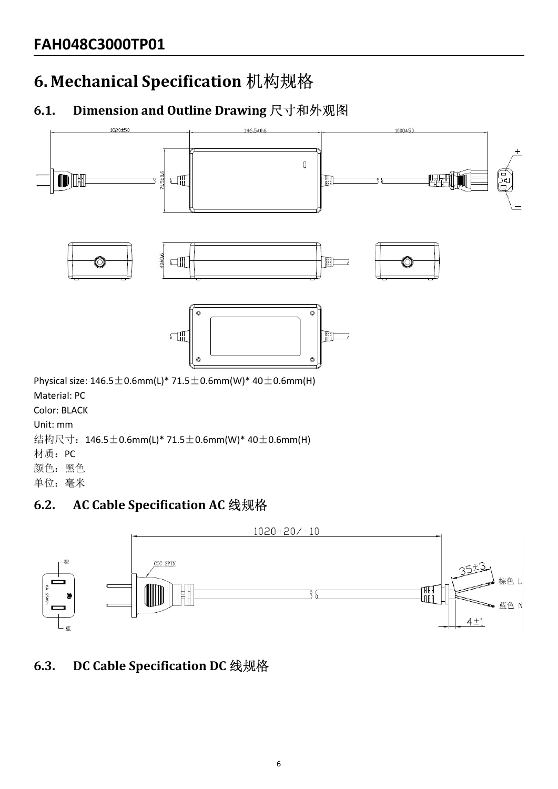